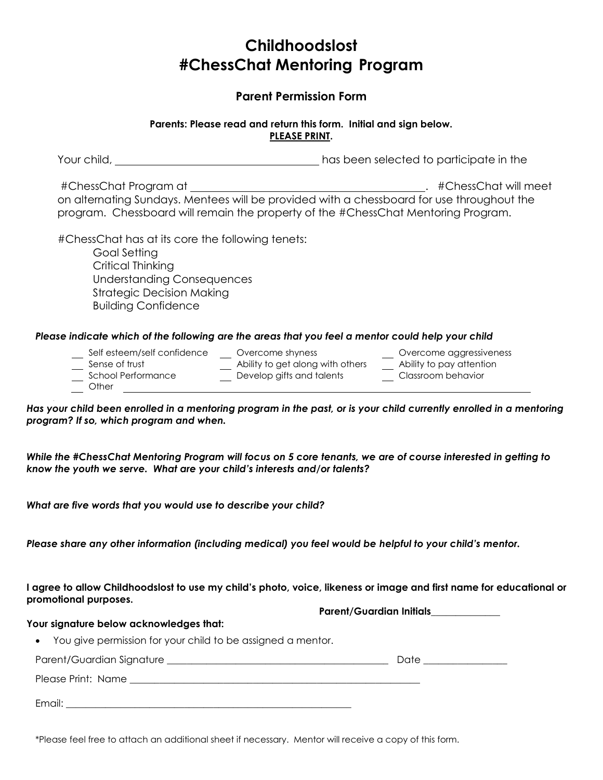## **Childhoodslost #ChessChat Mentoring Program**

### **Parent Permission Form**

#### **Parents: Please read and return this form. Initial and sign below. PLEASE PRINT.**

| Your child, | has been selected to participate in the |
|-------------|-----------------------------------------|
|-------------|-----------------------------------------|

#ChessChat Program at . #ChessChat will meet on alternating Sundays. Mentees will be provided with a chessboard for use throughout the program. Chessboard will remain the property of the #ChessChat Mentoring Program.

#ChessChat has at its core the following tenets: Goal Setting

Critical Thinking Understanding Consequences Strategic Decision Making Building Confidence

#### *Please indicate which of the following are the areas that you feel a mentor could help your child*

- Self esteem/self confidence Overcome shyness Overcome aggressiveness
	- Sense of trust Ability to get along with others Ability to pay attention
- School Performance Develop gifts and talents Classroom behavior
- 
- 
- 
- 

**Other** 

*Has your child been enrolled in a mentoring program in the past, or is your child currently enrolled in a mentoring program? If so, which program and when.*

*While the #ChessChat Mentoring Program will focus on 5 core tenants, we are of course interested in getting to know the youth we serve. What are your child's interests and/or talents?*

*What are five words that you would use to describe your child?*

*Please share any other information (including medical) you feel would be helpful to your child's mentor.*

#### **I agree to allow Childhoodslost to use my child's photo, voice, likeness or image and first name for educational or promotional purposes.**

**Parent/Guardian Initials\_\_\_\_\_\_\_\_\_\_\_\_\_\_**

#### **Your signature below acknowledges that:**

You give permission for your child to be assigned a mentor.

Parent/Guardian Signature \_\_\_\_\_\_\_\_\_\_\_\_\_\_\_\_\_\_\_\_\_\_\_\_\_\_\_\_\_\_\_\_\_\_\_\_\_\_\_\_\_\_\_\_\_ Date \_\_\_\_\_\_\_\_\_\_\_\_\_\_\_\_\_

Please Print: Name \_\_\_\_\_\_\_\_\_\_\_\_\_\_\_\_\_\_\_\_\_\_\_\_\_\_\_\_\_\_\_\_\_\_\_\_\_\_\_\_\_\_\_\_\_\_\_\_\_\_\_\_\_\_\_\_\_\_\_

Email:

\*Please feel free to attach an additional sheet if necessary. Mentor will receive a copy of this form.